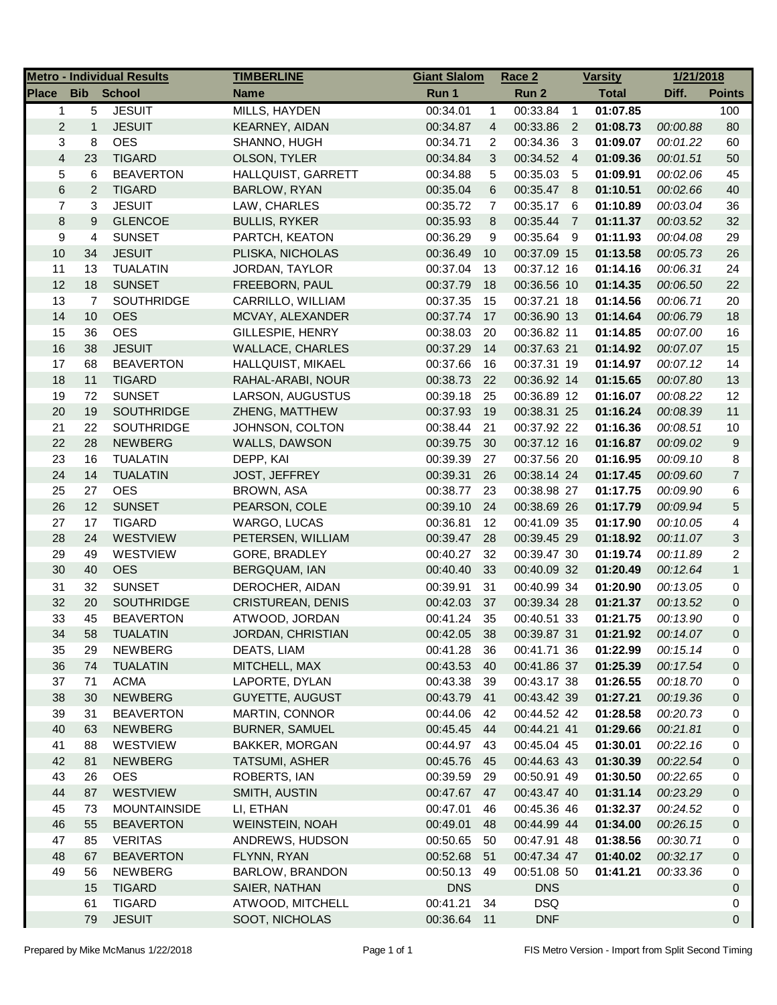|                |                | <b>Metro - Individual Results</b> | <b>TIMBERLINE</b>        | <b>Giant Slalom</b> |                | Race 2      |                | <b>Varsity</b> | 1/21/2018 |                |
|----------------|----------------|-----------------------------------|--------------------------|---------------------|----------------|-------------|----------------|----------------|-----------|----------------|
| Place          | <b>Bib</b>     | <b>School</b>                     | <b>Name</b>              | Run 1               |                | Run 2       |                | <b>Total</b>   | Diff.     | <b>Points</b>  |
| $\mathbf{1}$   | 5              | <b>JESUIT</b>                     | MILLS, HAYDEN            | 00:34.01            | $\mathbf{1}$   | 00:33.84    | $\overline{1}$ | 01:07.85       |           | 100            |
| $\overline{c}$ | $\mathbf{1}$   | <b>JESUIT</b>                     | KEARNEY, AIDAN           | 00:34.87            | 4              | 00:33.86    | $\overline{2}$ | 01:08.73       | 00:00.88  | 80             |
| 3              | 8              | <b>OES</b>                        | SHANNO, HUGH             | 00:34.71            | 2              | 00:34.36    | -3             | 01:09.07       | 00:01.22  | 60             |
| $\overline{4}$ | 23             | <b>TIGARD</b>                     | OLSON, TYLER             | 00:34.84            | 3              | 00:34.52 4  |                | 01:09.36       | 00:01.51  | 50             |
| 5              | 6              | <b>BEAVERTON</b>                  | HALLQUIST, GARRETT       | 00:34.88            | 5              | 00:35.03    | - 5            | 01:09.91       | 00:02.06  | 45             |
| 6              | $\overline{c}$ | <b>TIGARD</b>                     | BARLOW, RYAN             | 00:35.04            | 6              | 00:35.47 8  |                | 01:10.51       | 00:02.66  | 40             |
| 7              | 3              | <b>JESUIT</b>                     | LAW, CHARLES             | 00:35.72            | $\overline{7}$ | 00:35.17 6  |                | 01:10.89       | 00:03.04  | 36             |
| $\bf8$         | 9              | <b>GLENCOE</b>                    | <b>BULLIS, RYKER</b>     | 00:35.93            | 8              | 00:35.44    | $\overline{7}$ | 01:11.37       | 00:03.52  | 32             |
| 9              | 4              | <b>SUNSET</b>                     | PARTCH, KEATON           | 00:36.29            | 9              | 00:35.64 9  |                | 01:11.93       | 00:04.08  | 29             |
| 10             | 34             | <b>JESUIT</b>                     | PLISKA, NICHOLAS         | 00:36.49            | 10             | 00:37.09 15 |                | 01:13.58       | 00:05.73  | 26             |
| 11             | 13             | <b>TUALATIN</b>                   | JORDAN, TAYLOR           | 00:37.04            | 13             | 00:37.12 16 |                | 01:14.16       | 00:06.31  | 24             |
| 12             | 18             | <b>SUNSET</b>                     | FREEBORN, PAUL           | 00:37.79            | 18             | 00:36.56 10 |                | 01:14.35       | 00:06.50  | 22             |
| 13             | $\overline{7}$ | SOUTHRIDGE                        | CARRILLO, WILLIAM        | 00:37.35            | 15             | 00:37.21 18 |                | 01:14.56       | 00:06.71  | 20             |
| 14             | 10             | <b>OES</b>                        | MCVAY, ALEXANDER         | 00:37.74            | 17             | 00:36.90 13 |                | 01:14.64       | 00:06.79  | 18             |
| 15             | 36             | <b>OES</b>                        | GILLESPIE, HENRY         | 00:38.03            | 20             | 00:36.82 11 |                | 01:14.85       | 00:07.00  | 16             |
| 16             | 38             | <b>JESUIT</b>                     | <b>WALLACE, CHARLES</b>  | 00:37.29            | 14             | 00:37.63 21 |                | 01:14.92       | 00:07.07  | 15             |
| 17             | 68             | <b>BEAVERTON</b>                  | HALLQUIST, MIKAEL        | 00:37.66            | 16             | 00:37.31 19 |                | 01:14.97       | 00:07.12  | 14             |
| 18             | 11             | <b>TIGARD</b>                     | RAHAL-ARABI, NOUR        | 00:38.73            | 22             | 00:36.92 14 |                | 01:15.65       | 00:07.80  | 13             |
| 19             | 72             | <b>SUNSET</b>                     | LARSON, AUGUSTUS         | 00:39.18            | 25             | 00:36.89 12 |                | 01:16.07       | 00:08.22  | 12             |
| 20             | 19             | <b>SOUTHRIDGE</b>                 | ZHENG, MATTHEW           | 00:37.93            | 19             | 00:38.31 25 |                | 01:16.24       | 00:08.39  | 11             |
| 21             | 22             | <b>SOUTHRIDGE</b>                 | JOHNSON, COLTON          | 00:38.44            | 21             | 00:37.92 22 |                | 01:16.36       | 00:08.51  | 10             |
| 22             | 28             | <b>NEWBERG</b>                    | WALLS, DAWSON            | 00:39.75            | 30             | 00:37.12 16 |                | 01:16.87       | 00:09.02  | 9              |
| 23             | 16             | <b>TUALATIN</b>                   | DEPP, KAI                | 00:39.39            | 27             | 00:37.56 20 |                | 01:16.95       | 00:09.10  | 8              |
| 24             | 14             | <b>TUALATIN</b>                   | <b>JOST, JEFFREY</b>     | 00:39.31            | 26             | 00:38.14 24 |                | 01:17.45       | 00:09.60  | $\overline{7}$ |
| 25             | 27             | <b>OES</b>                        | <b>BROWN, ASA</b>        | 00:38.77            | 23             | 00:38.98 27 |                | 01:17.75       | 00:09.90  | 6              |
| 26             | 12             | <b>SUNSET</b>                     | PEARSON, COLE            | 00:39.10            | 24             | 00:38.69 26 |                | 01:17.79       | 00:09.94  | 5              |
| 27             | 17             | <b>TIGARD</b>                     | WARGO, LUCAS             | 00:36.81            | 12             | 00:41.09 35 |                | 01:17.90       | 00:10.05  | 4              |
| 28             | 24             | WESTVIEW                          | PETERSEN, WILLIAM        | 00:39.47            | 28             | 00:39.45 29 |                | 01:18.92       | 00:11.07  | 3              |
| 29             | 49             | WESTVIEW                          | GORE, BRADLEY            | 00:40.27            | 32             | 00:39.47 30 |                | 01:19.74       | 00:11.89  | 2              |
| 30             | 40             | <b>OES</b>                        | BERGQUAM, IAN            | 00:40.40            | 33             | 00:40.09 32 |                | 01:20.49       | 00:12.64  | $\mathbf{1}$   |
| 31             | 32             | <b>SUNSET</b>                     | DEROCHER, AIDAN          | 00:39.91            | 31             | 00:40.99 34 |                | 01:20.90       | 00:13.05  | 0              |
| 32             | 20             | <b>SOUTHRIDGE</b>                 | <b>CRISTUREAN, DENIS</b> | 00:42.03            | 37             | 00:39.34 28 |                | 01:21.37       | 00:13.52  | 0              |
| 33             | 45             | <b>BEAVERTON</b>                  | ATWOOD, JORDAN           | 00:41.24            | 35             | 00:40.51 33 |                | 01:21.75       | 00:13.90  | 0              |
| 34             | 58             | <b>TUALATIN</b>                   | JORDAN, CHRISTIAN        | 00:42.05            | 38             | 00:39.87 31 |                | 01:21.92       | 00:14.07  | $\Omega$       |
| 35             | 29             | <b>NEWBERG</b>                    | DEATS, LIAM              | 00:41.28            | 36             | 00:41.71 36 |                | 01:22.99       | 00:15.14  | 0              |
| 36             | 74             | <b>TUALATIN</b>                   | MITCHELL, MAX            | 00:43.53            | 40             | 00:41.86 37 |                | 01:25.39       | 00:17.54  | 0              |
| 37             | 71             | <b>ACMA</b>                       | LAPORTE, DYLAN           | 00:43.38            | 39             | 00:43.17 38 |                | 01:26.55       | 00:18.70  | 0              |
| 38             | 30             | <b>NEWBERG</b>                    | <b>GUYETTE, AUGUST</b>   | 00:43.79 41         |                | 00:43.42 39 |                | 01:27.21       | 00:19.36  | 0              |
| 39             | 31             | <b>BEAVERTON</b>                  | MARTIN, CONNOR           | 00:44.06            | 42             | 00:44.52 42 |                | 01:28.58       | 00:20.73  | 0              |
| 40             | 63             | <b>NEWBERG</b>                    | <b>BURNER, SAMUEL</b>    | 00:45.45            | - 44           | 00:44.21 41 |                | 01:29.66       | 00:21.81  | 0              |
| 41             | 88             | WESTVIEW                          | <b>BAKKER, MORGAN</b>    | 00:44.97            | 43             | 00:45.04 45 |                | 01:30.01       | 00:22.16  | 0              |
| 42             | 81             | <b>NEWBERG</b>                    | <b>TATSUMI, ASHER</b>    | 00:45.76            | 45             | 00:44.63 43 |                | 01:30.39       | 00:22.54  | 0              |
| 43             | 26             | <b>OES</b>                        | ROBERTS, IAN             | 00:39.59            | 29             | 00:50.91 49 |                | 01:30.50       | 00:22.65  | 0              |
| 44             | 87             | WESTVIEW                          | SMITH, AUSTIN            | 00:47.67            | 47             | 00:43.47 40 |                | 01:31.14       | 00:23.29  | 0              |
| 45             | 73             | <b>MOUNTAINSIDE</b>               | LI, ETHAN                | 00:47.01            | 46             | 00:45.36 46 |                | 01:32.37       | 00:24.52  | 0              |
| 46             | 55             | <b>BEAVERTON</b>                  | <b>WEINSTEIN, NOAH</b>   | 00:49.01            | 48             | 00:44.99 44 |                | 01:34.00       | 00:26.15  | 0              |
| 47             | 85             | <b>VERITAS</b>                    | ANDREWS, HUDSON          | 00:50.65            | 50             | 00:47.91 48 |                | 01:38.56       | 00:30.71  | 0              |
| 48             | 67             | <b>BEAVERTON</b>                  | FLYNN, RYAN              | 00:52.68            | 51             | 00:47.34 47 |                | 01:40.02       | 00:32.17  | 0              |
| 49             | 56             | <b>NEWBERG</b>                    | BARLOW, BRANDON          | 00:50.13            | 49             | 00:51.08 50 |                | 01:41.21       | 00:33.36  | 0              |
|                | 15             | <b>TIGARD</b>                     | SAIER, NATHAN            | <b>DNS</b>          |                | <b>DNS</b>  |                |                |           | 0              |
|                | 61             | <b>TIGARD</b>                     | ATWOOD, MITCHELL         | 00:41.21            | 34             | <b>DSQ</b>  |                |                |           | 0              |
|                | 79             | <b>JESUIT</b>                     | SOOT, NICHOLAS           | 00:36.64            | 11             | <b>DNF</b>  |                |                |           | 0              |
|                |                |                                   |                          |                     |                |             |                |                |           |                |